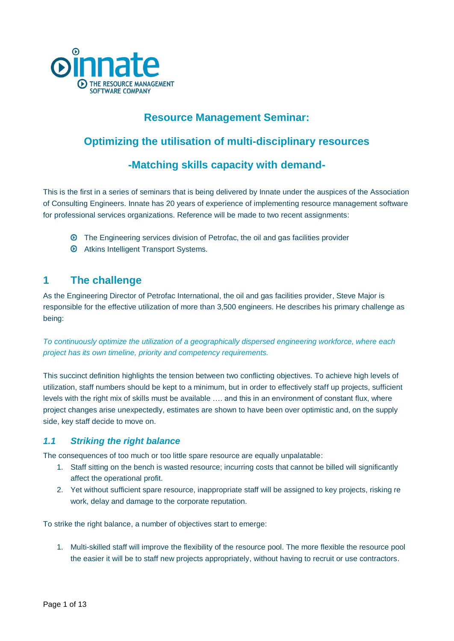

# **Resource Management Seminar:**

# **Optimizing the utilisation of multi-disciplinary resources**

# **-Matching skills capacity with demand-**

This is the first in a series of seminars that is being delivered by Innate under the auspices of the Association of Consulting Engineers. Innate has 20 years of experience of implementing resource management software for professional services organizations. Reference will be made to two recent assignments:

- The Engineering services division of Petrofac, the oil and gas facilities provider
- $\odot$  Atkins Intelligent Transport Systems.

# **1 The challenge**

As the Engineering Director of Petrofac International, the oil and gas facilities provider, Steve Major is responsible for the effective utilization of more than 3,500 engineers. He describes his primary challenge as being:

*To continuously optimize the utilization of a geographically dispersed engineering workforce, where each project has its own timeline, priority and competency requirements.* 

This succinct definition highlights the tension between two conflicting objectives. To achieve high levels of utilization, staff numbers should be kept to a minimum, but in order to effectively staff up projects, sufficient levels with the right mix of skills must be available …. and this in an environment of constant flux, where project changes arise unexpectedly, estimates are shown to have been over optimistic and, on the supply side, key staff decide to move on.

## *1.1 Striking the right balance*

The consequences of too much or too little spare resource are equally unpalatable:

- 1. Staff sitting on the bench is wasted resource; incurring costs that cannot be billed will significantly affect the operational profit.
- 2. Yet without sufficient spare resource, inappropriate staff will be assigned to key projects, risking re work, delay and damage to the corporate reputation.

To strike the right balance, a number of objectives start to emerge:

1. Multi-skilled staff will improve the flexibility of the resource pool. The more flexible the resource pool the easier it will be to staff new projects appropriately, without having to recruit or use contractors.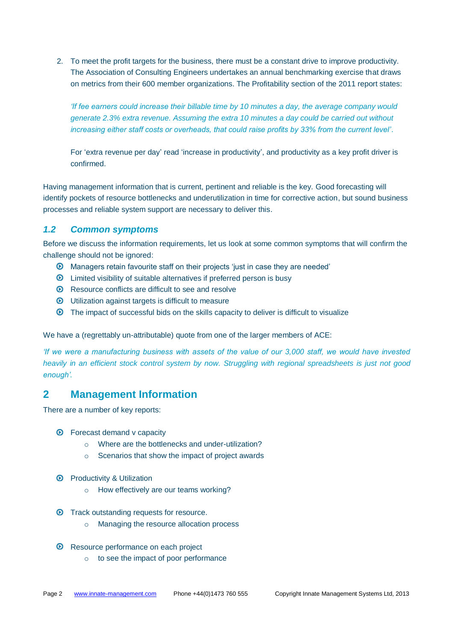2. To meet the profit targets for the business, there must be a constant drive to improve productivity. The Association of Consulting Engineers undertakes an annual benchmarking exercise that draws on metrics from their 600 member organizations. The Profitability section of the 2011 report states:

*'If fee earners could increase their billable time by 10 minutes a day, the average company would generate 2.3% extra revenue. Assuming the extra 10 minutes a day could be carried out without increasing either staff costs or overheads, that could raise profits by 33% from the current level'*.

For 'extra revenue per day' read 'increase in productivity', and productivity as a key profit driver is confirmed.

Having management information that is current, pertinent and reliable is the key. Good forecasting will identify pockets of resource bottlenecks and underutilization in time for corrective action, but sound business processes and reliable system support are necessary to deliver this.

#### *1.2 Common symptoms*

Before we discuss the information requirements, let us look at some common symptoms that will confirm the challenge should not be ignored:

- Managers retain favourite staff on their projects 'just in case they are needed'
- Limited visibility of suitable alternatives if preferred person is busy
- $\odot$  Resource conflicts are difficult to see and resolve
- Utilization against targets is difficult to measure
- The impact of successful bids on the skills capacity to deliver is difficult to visualize

We have a (regrettably un-attributable) quote from one of the larger members of ACE:

*'If we were a manufacturing business with assets of the value of our 3,000 staff, we would have invested heavily in an efficient stock control system by now. Struggling with regional spreadsheets is just not good enough'.*

## **2 Management Information**

There are a number of key reports:

- $\odot$  Forecast demand v capacity
	- o Where are the bottlenecks and under-utilization?
	- o Scenarios that show the impact of project awards
- **O** Productivity & Utilization
	- o How effectively are our teams working?
- $\odot$  Track outstanding requests for resource.
	- o Managing the resource allocation process
- **E** Resource performance on each project
	- o to see the impact of poor performance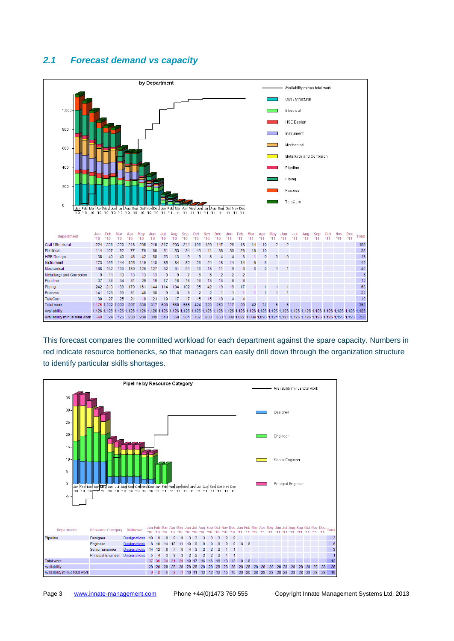## *2.1 Forecast demand vs capacity*



This forecast compares the committed workload for each department against the spare capacity. Numbers in red indicate resource bottlenecks, so that managers can easily drill down through the organization structure to identify particular skills shortages.

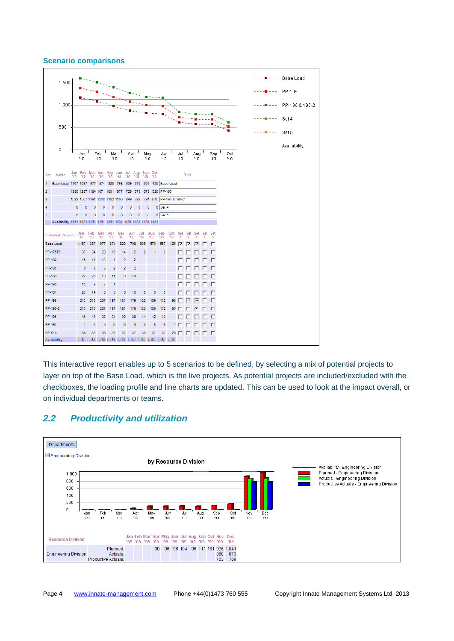#### **Scenario comparisons**



This interactive report enables up to 5 scenarios to be defined, by selecting a mix of potential projects to layer on top of the Base Load, which is the live projects. As potential projects are included/excluded with the checkboxes, the loading profile and line charts are updated. This can be used to look at the impact overall, or on individual departments or teams.



### *2.2 Productivity and utilization*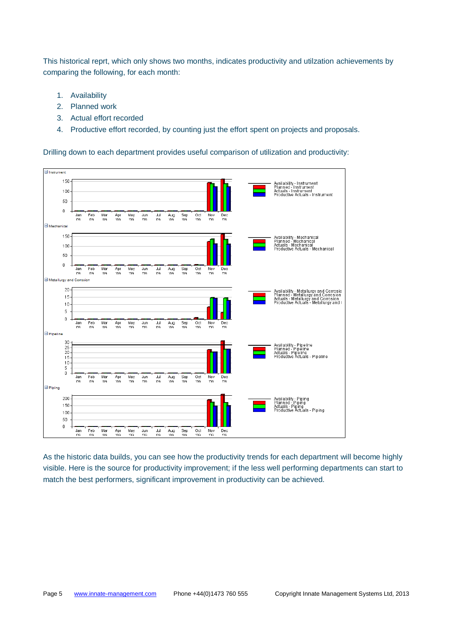This historical reprt, which only shows two months, indicates productivity and utilzation achievements by comparing the following, for each month:

- 1. Availability
- 2. Planned work
- 3. Actual effort recorded
- 4. Productive effort recorded, by counting just the effort spent on projects and proposals.

Drilling down to each department provides useful comparison of utilization and productivity:



As the historic data builds, you can see how the productivity trends for each department will become highly visible. Here is the source for productivity improvement; if the less well performing departments can start to match the best performers, significant improvement in productivity can be achieved.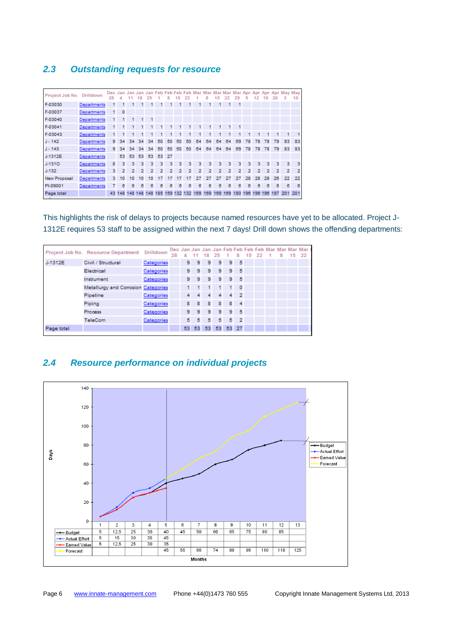## *2.3 Outstanding requests for resource*

| Project Job No. | Drilldown   | Dec Jan<br>28 | Δ         | Jan     | Jan<br>18      | Jan<br>25 | Feb | Feb F<br>8     | eb<br>5 | Feb<br>22   | Mar | Mar<br>8 | Mar<br>15 | Mar<br>22 | 29             | Mar Apr<br>5   | Apr<br>12 | Apr<br>Æ.   | 26             |                | May May<br>10 |
|-----------------|-------------|---------------|-----------|---------|----------------|-----------|-----|----------------|---------|-------------|-----|----------|-----------|-----------|----------------|----------------|-----------|-------------|----------------|----------------|---------------|
| F-03030         | Departments |               |           |         |                |           |     |                |         |             |     |          |           |           |                |                |           |             |                |                |               |
| F-03037         | Departments | 1             | $\bullet$ |         |                |           |     |                |         |             |     |          |           |           |                |                |           |             |                |                |               |
| F-03040         | Departments | 1             |           |         |                | 1         |     |                |         |             |     |          |           |           |                |                |           |             |                |                |               |
| F-03041         | Departments | 1             |           |         |                |           |     |                |         | 1           |     | 1.       | 1         |           | 1              |                |           |             |                |                |               |
| F-03043         | Departments |               |           |         |                |           |     |                |         |             |     |          |           |           |                |                |           |             |                |                |               |
| $J - 142$       | Departments | 9             | 34        | 34      | 34             | 34        | 50  | 50             | 50      | 50          | 64  | 64       | 64        | 64        | 69             | 78             | 78        | 78          | 79             | 83             | 83            |
| $J - 143$       | Departments | 9             | 34        | 34      | 34             | 34        | 50  | 50             | 50      | 50          | 64  | 64       | 64        | 64        | 69             | 78             | 78        | 78          | 79             | 83             | 83            |
| J-1312E         | Departments |               | 53        | 53      | 53             | 53        | 53  | -27            |         |             |     |          |           |           |                |                |           |             |                |                |               |
| $J-131O$        | Departments | 8             | з         | з       | з              | з         | з   | з              | 3       | з           | з   | з        | 3         | 3         | з              | 3              | 3         | 3           | з              | 3              | 3             |
| $J-132$         | Departments | з             | 2         | 2       | $\overline{2}$ | 2         | 2   | $\overline{2}$ | 2       | 2           | 2   | 2        | 2         | 2         | $\overline{2}$ | $\overline{2}$ | 2         | 2           | $\overline{2}$ | $\overline{2}$ | 2             |
| New Proposal    | Departments | 3             | 10        | 10      | 10             | 10        |     |                |         |             | 27  | 27       | 27        | 27        |                | 28             | 28        | 28          | 26             | 22             | 22            |
| PI-09001        | Departments | 7             | 6         | 6       | 8              | 6         | 6   | 6              | 6       | 6           | 6   | 8        | 6         | 6         | 6              | 6              | 6         | 6           | 6              | 8              | 8             |
| Page total      |             | 43            | 148       | 148 148 |                | 148       | 185 |                |         | 159 132 132 | 169 | 169      | 169       | 169       | 180            | 196            |           | 196 196 197 |                | 201            | 201           |

This highlights the risk of delays to projects because named resources have yet to be allocated. Project J-1312E requires 53 staff to be assigned within the next 7 days! Drill down shows the offending departments:

|            | Project Job No. Resource Department Drilldown |            | 28 |   | $4 - 11$ |                 | 18 25 |       |                | 8 15 22 |  | 8 15 22 | Dec Jan Jan Jan Jan Feb Feb Feb Feb Mar Mar Mar Mar I |
|------------|-----------------------------------------------|------------|----|---|----------|-----------------|-------|-------|----------------|---------|--|---------|-------------------------------------------------------|
| J-1312E    | Civil / Structural                            | Categories |    | 9 | 9.       | $9-1$           |       | $9 -$ | 9 <sub>5</sub> |         |  |         |                                                       |
|            | Electrical                                    | Categories |    | 9 | 9        | 9               | 9     |       | $9 - 5$        |         |  |         |                                                       |
|            | Instrument                                    | Categories |    | 9 | 9        | 9               | 9     |       | 9 <sub>5</sub> |         |  |         |                                                       |
|            | Metallurgy and Corrosion Categories           |            |    |   |          |                 |       |       | - 0            |         |  |         |                                                       |
|            | Pipeline                                      | Categories |    | 4 |          | 4               | 4     |       | 4 <sup>2</sup> |         |  |         |                                                       |
|            | Piping                                        | Categories |    | 8 | 8        | 8               | 8     | 8     | $-4$           |         |  |         |                                                       |
|            | Process                                       | Categories |    | 9 | 9        | 9               | 9     |       | $9-5$          |         |  |         |                                                       |
|            | TeleCom                                       | Categories |    | 5 | 5        | 5               | 5     |       | $5 - 2$        |         |  |         |                                                       |
| Page total |                                               |            |    |   | 53 53    | 53 <sup>1</sup> | 53    |       | 53 27          |         |  |         |                                                       |

## *2.4 Resource performance on individual projects*

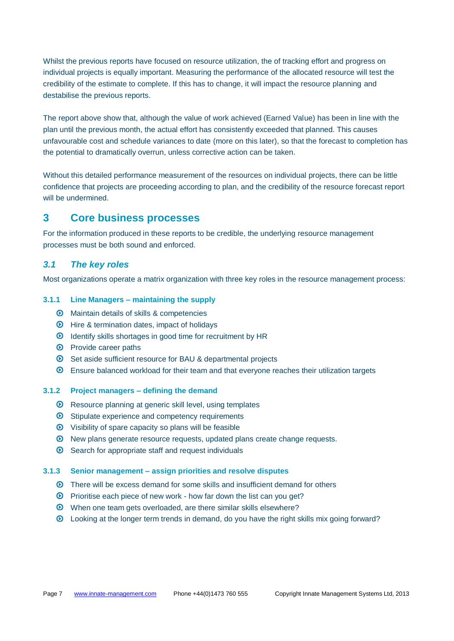Whilst the previous reports have focused on resource utilization, the of tracking effort and progress on individual projects is equally important. Measuring the performance of the allocated resource will test the credibility of the estimate to complete. If this has to change, it will impact the resource planning and destabilise the previous reports.

The report above show that, although the value of work achieved (Earned Value) has been in line with the plan until the previous month, the actual effort has consistently exceeded that planned. This causes unfavourable cost and schedule variances to date (more on this later), so that the forecast to completion has the potential to dramatically overrun, unless corrective action can be taken.

Without this detailed performance measurement of the resources on individual projects, there can be little confidence that projects are proceeding according to plan, and the credibility of the resource forecast report will be undermined.

## **3 Core business processes**

For the information produced in these reports to be credible, the underlying resource management processes must be both sound and enforced.

### *3.1 The key roles*

Most organizations operate a matrix organization with three key roles in the resource management process:

#### **3.1.1 Line Managers – maintaining the supply**

- Maintain details of skills & competencies
- $\odot$  Hire & termination dates, impact of holidays
- Identify skills shortages in good time for recruitment by HR
- <sup>O</sup> Provide career paths
- Set aside sufficient resource for BAU & departmental projects
- Ensure balanced workload for their team and that everyone reaches their utilization targets

#### **3.1.2 Project managers – defining the demand**

- $\odot$  Resource planning at generic skill level, using templates
- <sup>O</sup> Stipulate experience and competency requirements
- $\odot$  Visibility of spare capacity so plans will be feasible
- New plans generate resource requests, updated plans create change requests.
- $\odot$  Search for appropriate staff and request individuals

#### **3.1.3 Senior management – assign priorities and resolve disputes**

- There will be excess demand for some skills and insufficient demand for others
- $\odot$  Prioritise each piece of new work how far down the list can you get?
- When one team gets overloaded, are there similar skills elsewhere?
- Looking at the longer term trends in demand, do you have the right skills mix going forward?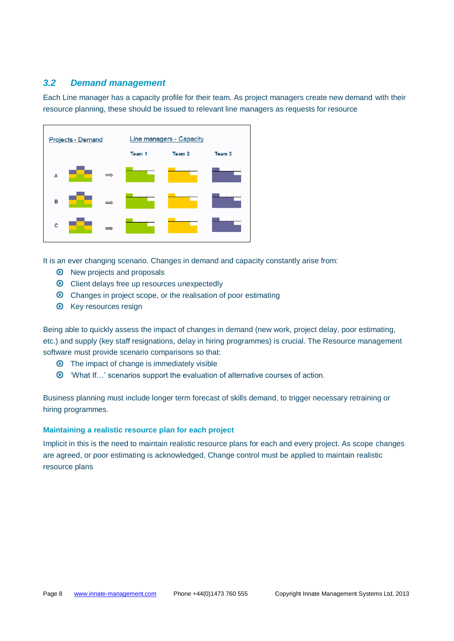#### *3.2 Demand management*

Each Line manager has a capacity profile for their team. As project managers create new demand with their resource planning, these should be issued to relevant line managers as requests for resource



It is an ever changing scenario. Changes in demand and capacity constantly arise from:

- <sup>O</sup> New projects and proposals
- $\odot$  Client delays free up resources unexpectedly
- Changes in project scope, or the realisation of poor estimating
- $\odot$  Key resources resign

Being able to quickly assess the impact of changes in demand (new work, project delay, poor estimating, etc.) and supply (key staff resignations, delay in hiring programmes) is crucial. The Resource management software must provide scenario comparisons so that:

- $\odot$  The impact of change is immediately visible
- 'What If…' scenarios support the evaluation of alternative courses of action.

Business planning must include longer term forecast of skills demand, to trigger necessary retraining or hiring programmes.

#### **Maintaining a realistic resource plan for each project**

Implicit in this is the need to maintain realistic resource plans for each and every project. As scope changes are agreed, or poor estimating is acknowledged, Change control must be applied to maintain realistic resource plans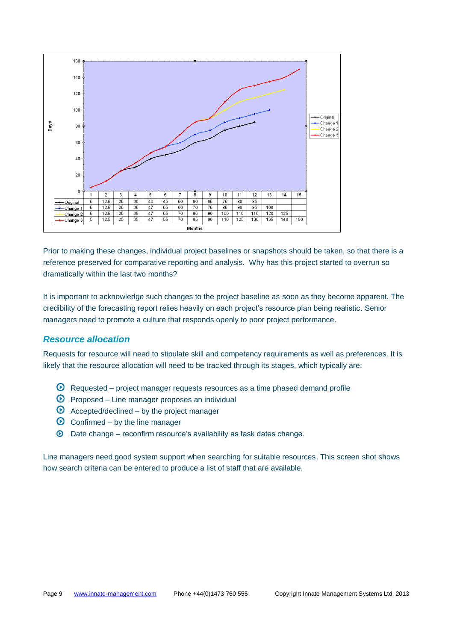

Prior to making these changes, individual project baselines or snapshots should be taken, so that there is a reference preserved for comparative reporting and analysis. Why has this project started to overrun so dramatically within the last two months?

It is important to acknowledge such changes to the project baseline as soon as they become apparent. The credibility of the forecasting report relies heavily on each project's resource plan being realistic. Senior managers need to promote a culture that responds openly to poor project performance.

#### *Resource allocation*

Requests for resource will need to stipulate skill and competency requirements as well as preferences. It is likely that the resource allocation will need to be tracked through its stages, which typically are:

- $\odot$  Requested project manager requests resources as a time phased demand profile
- $\odot$  Proposed Line manager proposes an individual
- $\bullet$  Accepted/declined by the project manager
- $\odot$  Confirmed by the line manager
- $\odot$  Date change reconfirm resource's availability as task dates change.

Line managers need good system support when searching for suitable resources. This screen shot shows how search criteria can be entered to produce a list of staff that are available.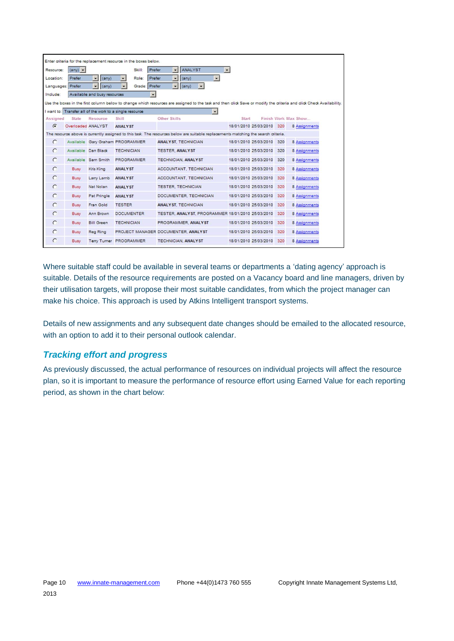|                   |                        |                                | Enter criteria for the replacement resource in the boxes below. |                                                                                                                                                                     |       |                           |     |                      |
|-------------------|------------------------|--------------------------------|-----------------------------------------------------------------|---------------------------------------------------------------------------------------------------------------------------------------------------------------------|-------|---------------------------|-----|----------------------|
| Resource:         | $(\text{any})$ $\star$ |                                | Prefer<br>Skill:                                                | ANALYST<br>$\overline{ }$<br>$\cdot$                                                                                                                                |       |                           |     |                      |
| Location:         | Prefer                 | $\mathbf{r}$<br>$(\text{any})$ | Prefer<br>Role:<br>$\blacktriangledown$                         | $\blacksquare$<br>$\blacksquare$<br>$(\text{any})$                                                                                                                  |       |                           |     |                      |
| Languages: Prefer |                        | $\bullet$ (any)                | Grade: Prefer<br>$\overline{\phantom{0}}$                       | $\mathbf{r}$<br>(sny)<br>$\overline{\phantom{a}}$                                                                                                                   |       |                           |     |                      |
| Include:          |                        | Available and busy resources   | $\overline{\phantom{a}}$                                        |                                                                                                                                                                     |       |                           |     |                      |
|                   |                        |                                |                                                                 | Use the boxes in the first column below to change which resources are assigned to the task and then click Save or modify the criteria and click Check Availability. |       |                           |     |                      |
|                   |                        |                                | I want to: Transfer all of the work to a single resource        | $\overline{ }$                                                                                                                                                      |       |                           |     |                      |
| Assigned          | State                  | Resource                       | Skill                                                           | Other Skills                                                                                                                                                        | Start |                           |     | Finish Work Max Show |
| $\epsilon$        | Overloaded ANALYST     |                                | <b>ANALYST</b>                                                  |                                                                                                                                                                     |       | 18/01/2010 25/03/2010 320 |     | 8 Assignments        |
|                   |                        |                                |                                                                 | The resource above is currently assigned to this task. The resources below are suitable replacements matching the search criteria.                                  |       |                           |     |                      |
| $\subset$         |                        |                                | Available Gary Graham PROGRAMMER                                | <b>ANALYST, TECHNICIAN</b>                                                                                                                                          |       | 18/01/2010 25/03/2010 320 |     | 8 Assignments        |
| $\epsilon$        | Available Dan Black    |                                | <b>TECHNICIAN</b>                                               | <b>TESTER, ANALYST</b>                                                                                                                                              |       | 18/01/2010 25/03/2010     | 320 | 8 Assignments        |
| $\epsilon$        |                        | Available Sam Smith            | <b>PROGRAMMER</b>                                               | <b>TECHNICIAN, ANALYST</b>                                                                                                                                          |       | 18/01/2010 25/03/2010     | 320 | 8 Assignments        |
| $\epsilon$        | Busy                   | Kris King                      | <b>ANALYST</b>                                                  | ACCOUNTANT, TECHNICIAN                                                                                                                                              |       | 18/01/2010 25/03/2010     | 320 | 8 Assignments        |
| $\mathcal{C}$     | Busy                   | Larry Lamb                     | <b>ANALYST</b>                                                  | ACCOUNTANT, TECHNICIAN                                                                                                                                              |       | 18/01/2010 25/03/2010     | 320 | 8 Assignments        |
| $\subset$         | Busy                   | Nat Nolan                      | <b>ANALYST</b>                                                  | <b>TESTER, TECHNICIAN</b>                                                                                                                                           |       | 18/01/2010 25/03/2010     | 320 | 8 Assignments        |
| $\bigcap$         | Busy                   | Pat Pringle                    | <b>ANALYST</b>                                                  | DOCUMENTER, TECHNICIAN                                                                                                                                              |       | 18/01/2010 25/03/2010     | 320 | 8 Assignments        |
| $\circ$           | <b>Busy</b>            | Fran Gold                      | <b>TESTER</b>                                                   | <b>ANALYST, TECHNICIAN</b>                                                                                                                                          |       | 18/01/2010 25/03/2010     | 320 | 8 Assignments        |
| $\subset$         | Busy                   | Ann Brown                      | <b>DOCUMENTER</b>                                               | TESTER, ANALYST, PROGRAMMER 18/01/2010 25/03/2010                                                                                                                   |       |                           | 320 | 8 Assignments        |
| $\subset$         | Busy                   | <b>Bill Green</b>              | <b>TECHNICIAN</b>                                               | PROGRAMMER, ANALYST                                                                                                                                                 |       | 18/01/2010 25/03/2010     | 320 | 8 Assignments        |
| $\bigcap$         | Busy                   | Reg Ring                       |                                                                 | PROJECT MANAGER DOCUMENTER, ANALYST                                                                                                                                 |       | 18/01/2010 25/03/2010     | 320 | 8 Assignments        |
| $\circ$           | Busy                   |                                | Terry Turner PROGRAMMER                                         | TECHNICIAN, ANALYST                                                                                                                                                 |       | 18/01/2010 25/03/2010     | 320 | 8 Assignments        |

Where suitable staff could be available in several teams or departments a 'dating agency' approach is suitable. Details of the resource requirements are posted on a Vacancy board and line managers, driven by their utilisation targets, will propose their most suitable candidates, from which the project manager can make his choice. This approach is used by Atkins Intelligent transport systems.

Details of new assignments and any subsequent date changes should be emailed to the allocated resource, with an option to add it to their personal outlook calendar.

## *Tracking effort and progress*

As previously discussed, the actual performance of resources on individual projects will affect the resource plan, so it is important to measure the performance of resource effort using Earned Value for each reporting period, as shown in the chart below: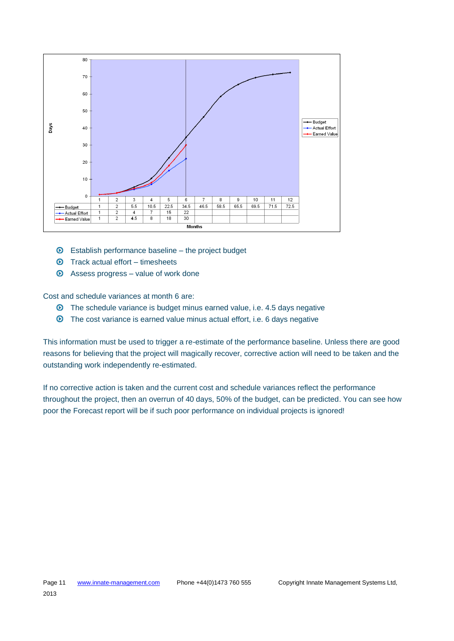

- $\odot$  Establish performance baseline the project budget
- $\odot$  Track actual effort timesheets
- $\odot$  Assess progress value of work done

Cost and schedule variances at month 6 are:

- **O** The schedule variance is budget minus earned value, i.e. 4.5 days negative
- The cost variance is earned value minus actual effort, i.e. 6 days negative

This information must be used to trigger a re-estimate of the performance baseline. Unless there are good reasons for believing that the project will magically recover, corrective action will need to be taken and the outstanding work independently re-estimated.

If no corrective action is taken and the current cost and schedule variances reflect the performance throughout the project, then an overrun of 40 days, 50% of the budget, can be predicted. You can see how poor the Forecast report will be if such poor performance on individual projects is ignored!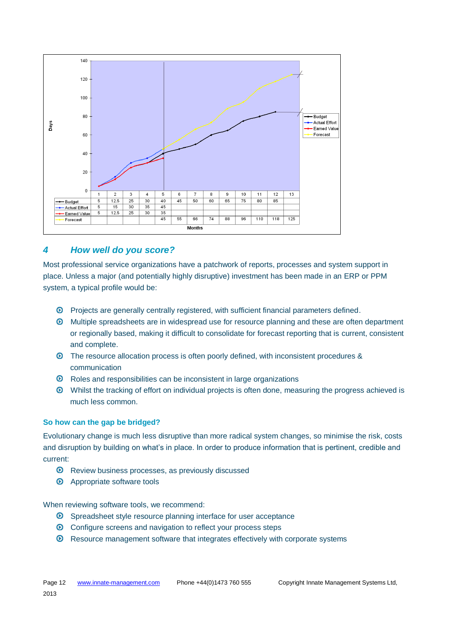

## *4 How well do you score?*

Most professional service organizations have a patchwork of reports, processes and system support in place. Unless a major (and potentially highly disruptive) investment has been made in an ERP or PPM system, a typical profile would be:

- Projects are generally centrally registered, with sufficient financial parameters defined.
- Multiple spreadsheets are in widespread use for resource planning and these are often department or regionally based, making it difficult to consolidate for forecast reporting that is current, consistent and complete.
- The resource allocation process is often poorly defined, with inconsistent procedures & communication
- $\odot$  Roles and responsibilities can be inconsistent in large organizations
- Whilst the tracking of effort on individual projects is often done, measuring the progress achieved is much less common.

#### **So how can the gap be bridged?**

Evolutionary change is much less disruptive than more radical system changes, so minimise the risk, costs and disruption by building on what's in place. In order to produce information that is pertinent, credible and current:

- <sup>O</sup> Review business processes, as previously discussed
- $\odot$  Appropriate software tools

When reviewing software tools, we recommend:

- Spreadsheet style resource planning interface for user acceptance
- Configure screens and navigation to reflect your process steps
- Resource management software that integrates effectively with corporate systems